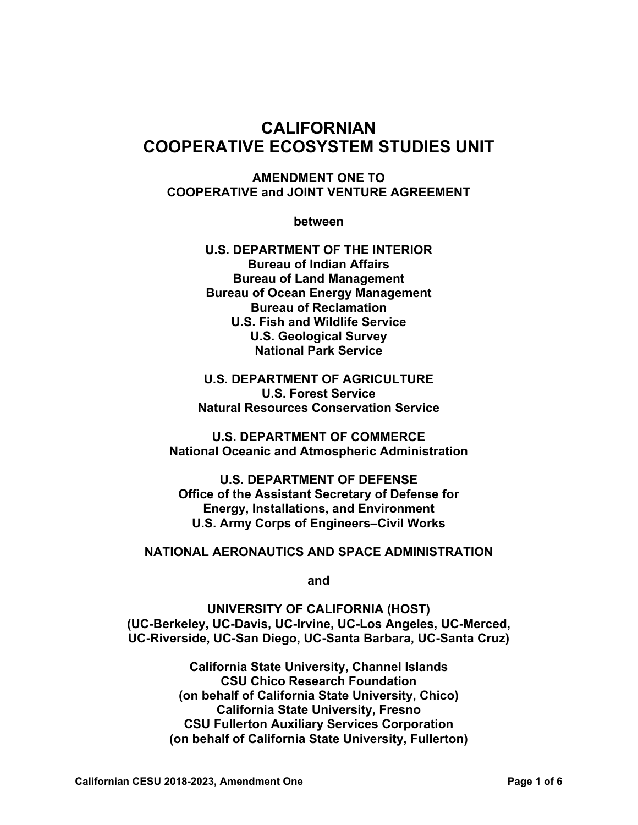# **CALIFORNIAN COOPERATIVE ECOSYSTEM STUDIES UNIT**

**AMENDMENT ONE TO COOPERATIVE and JOINT VENTURE AGREEMENT** 

**between** 

**U.S. DEPARTMENT OF THE INTERIOR Bureau of Indian Affairs Bureau of Land Management Bureau of Ocean Energy Management Bureau of Reclamation U.S. Fish and Wildlife Service U.S. Geological Survey National Park Service** 

**U.S. DEPARTMENT OF AGRICULTURE U.S. Forest Service Natural Resources Conservation Service** 

**U.S. DEPARTMENT OF COMMERCE National Oceanic and Atmospheric Administration** 

**U.S. DEPARTMENT OF DEFENSE Office of the Assistant Secretary of Defense for Energy, Installations, and Environment U.S. Army Corps of Engineers–Civil Works** 

#### **NATIONAL AERONAUTICS AND SPACE ADMINISTRATION**

**and** 

**UNIVERSITY OF CALIFORNIA (HOST) (UC-Berkeley, UC-Davis, UC-Irvine, UC-Los Angeles, UC-Merced, UC-Riverside, UC-San Diego, UC-Santa Barbara, UC-Santa Cruz)** 

> **California State University, Channel Islands CSU Chico Research Foundation (on behalf of California State University, Chico) California State University, Fresno CSU Fullerton Auxiliary Services Corporation (on behalf of California State University, Fullerton)**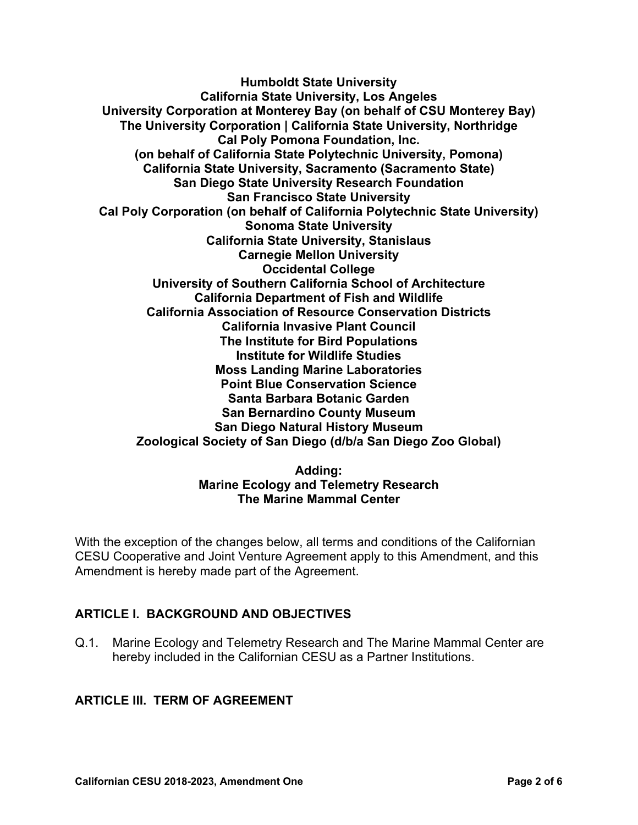**Humboldt State University California State University, Los Angeles University Corporation at Monterey Bay (on behalf of CSU Monterey Bay) The University Corporation | California State University, Northridge Cal Poly Pomona Foundation, Inc. (on behalf of California State Polytechnic University, Pomona) California State University, Sacramento (Sacramento State) San Diego State University Research Foundation San Francisco State University Cal Poly Corporation (on behalf of California Polytechnic State University) Sonoma State University California State University, Stanislaus Carnegie Mellon University Occidental College University of Southern California School of Architecture California Department of Fish and Wildlife California Association of Resource Conservation Districts California Invasive Plant Council The Institute for Bird Populations Institute for Wildlife Studies Moss Landing Marine Laboratories Point Blue Conservation Science Santa Barbara Botanic Garden San Bernardino County Museum San Diego Natural History Museum Zoological Society of San Diego (d/b/a San Diego Zoo Global)** 

#### **Adding: Marine Ecology and Telemetry Research The Marine Mammal Center**

With the exception of the changes below, all terms and conditions of the Californian CESU Cooperative and Joint Venture Agreement apply to this Amendment, and this Amendment is hereby made part of the Agreement.

### **ARTICLE I. BACKGROUND AND OBJECTIVES**

Q.1. Marine Ecology and Telemetry Research and The Marine Mammal Center are hereby included in the Californian CESU as a Partner Institutions.

#### **ARTICLE III. TERM OF AGREEMENT**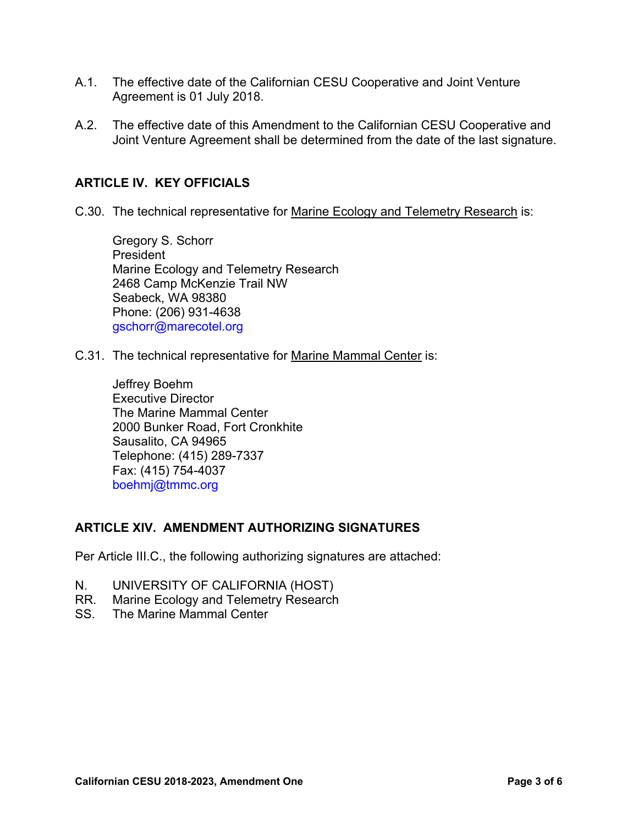- A.1. The effective date of the Californian CESU Cooperative and Joint Venture Agreement is 01 July 2018.
- A.2. The effective date of this Amendment to the Californian CESU Cooperative and Joint Venture Agreement shall be determined from the date of the last signature.

#### **ARTICLE IV. KEY OFFICIALS**

C.30. The technical representative for Marine Ecology and Telemetry Research is:

Gregory S. Schorr President Marine Ecology and Telemetry Research 2468 Camp McKenzie Trail NW Seabeck, WA 98380 Phone: (206) 931-4638 gschorr@marecotel.org

C.31. The technical representative for Marine Mammal Center is:

Jeffrey Boehm Executive Director The Marine Mammal Center 2000 Bunker Road, Fort Cronkhite Sausalito, CA 94965 Telephone: (415) 289-7337 Fax: (415) 754-4037 boehmj@tmmc.org

#### **ARTICLE XIV. AMENDMENT AUTHORIZING SIGNATURES**

Per Article III.C., the following authorizing signatures are attached:

- N. UNIVERSITY OF CALIFORNIA (HOST)
- RR. Marine Ecology and Telemetry Research
- SS. The Marine Mammal Center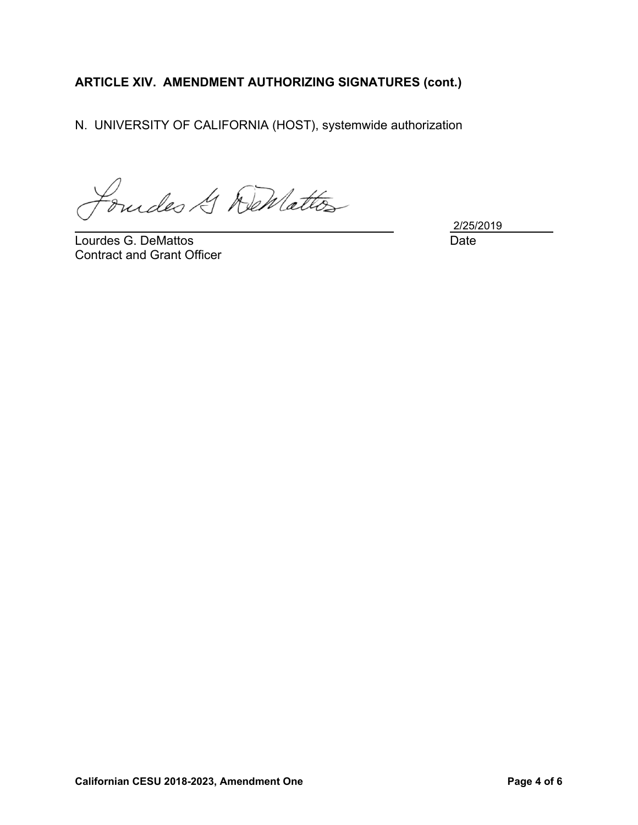### **ARTICLE XIV. AMENDMENT AUTHORIZING SIGNATURES (cont.)**

N. UNIVERSITY OF CALIFORNIA (HOST), systemwide authorization

Foundes & DeMattos l

Lourdes G. DeMattos **Date** Contract and Grant Officer

2/25/2019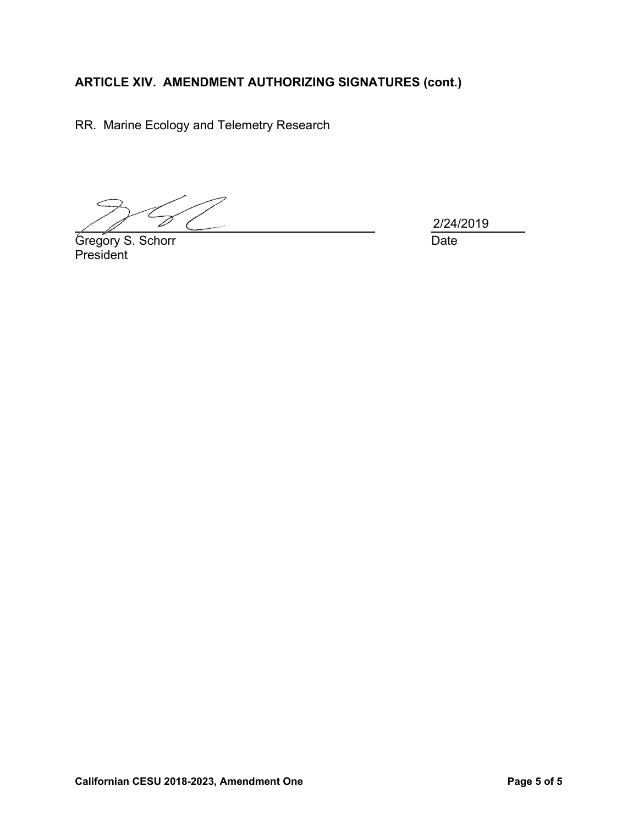## **ARTICLE XIV. AMENDMENT AUTHORIZING SIGNATURES (cont.)**

RR. Marine Ecology and Telemetry Research

T

Gregory S. Schorr **Date** President

l

2/24/2019